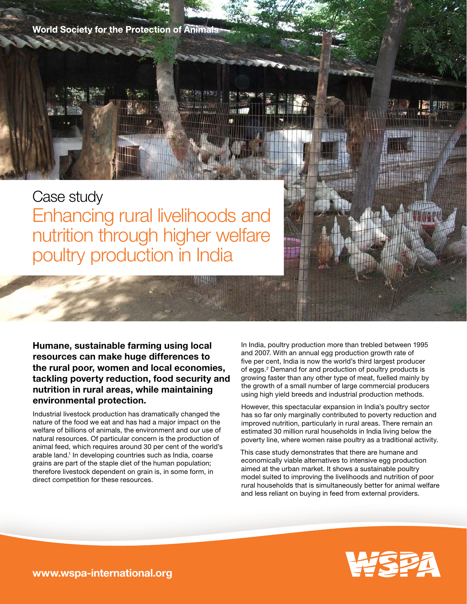**World Society for the Protection of Animals** 

Case study Enhancing rural livelihoods and nutrition through higher welfare poultry production in India

Humane, sustainable farming using local resources can make huge differences to the rural poor, women and local economies, tackling poverty reduction, food security and nutrition in rural areas, while maintaining environmental protection.

Industrial livestock production has dramatically changed the nature of the food we eat and has had a major impact on the welfare of billions of animals, the environment and our use of natural resources. Of particular concern is the production of animal feed, which requires around 30 per cent of the world's arable land.<sup>1</sup> In developing countries such as India, coarse grains are part of the staple diet of the human population; therefore livestock dependent on grain is, in some form, in direct competition for these resources.

In India, poultry production more than trebled between 1995 and 2007. With an annual egg production growth rate of five per cent, India is now the world's third largest producer of eggs.<sup>2</sup> Demand for and production of poultry products is growing faster than any other type of meat, fuelled mainly by the growth of a small number of large commercial producers using high yield breeds and industrial production methods.

However, this spectacular expansion in India's poultry sector has so far only marginally contributed to poverty reduction and improved nutrition, particularly in rural areas. There remain an estimated 30 million rural households in India living below the poverty line, where women raise poultry as a traditional activity.

This case study demonstrates that there are humane and economically viable alternatives to intensive egg production aimed at the urban market. It shows a sustainable poultry model suited to improving the livelihoods and nutrition of poor rural households that is simultaneously better for animal welfare and less reliant on buying in feed from external providers.



www.wspa-international.org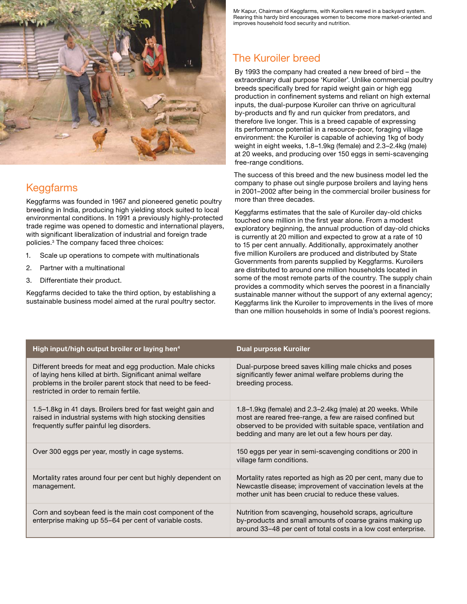

# Keggfarms

Keggfarms was founded in 1967 and pioneered genetic poultry breeding in India, producing high yielding stock suited to local environmental conditions. In 1991 a previously highly-protected trade regime was opened to domestic and international players, with significant liberalization of industrial and foreign trade policies.3 The company faced three choices:

- 1. Scale up operations to compete with multinationals
- 2. Partner with a multinational
- 3. Differentiate their product.

Keggfarms decided to take the third option, by establishing a sustainable business model aimed at the rural poultry sector.

Mr Kapur, Chairman of Keggfarms, with Kuroilers reared in a backyard system. Rearing this hardy bird encourages women to become more market-oriented and improves household food security and nutrition.

# The Kuroiler breed

By 1993 the company had created a new breed of bird – the extraordinary dual purpose 'Kuroiler'. Unlike commercial poultry breeds specifically bred for rapid weight gain or high egg production in confinement systems and reliant on high external inputs, the dual-purpose Kuroiler can thrive on agricultural by-products and fly and run quicker from predators, and therefore live longer. This is a breed capable of expressing its performance potential in a resource-poor, foraging village environment: the Kuroiler is capable of achieving 1kg of body weight in eight weeks, 1.8–1.9kg (female) and 2.3–2.4kg (male) at 20 weeks, and producing over 150 eggs in semi-scavenging free-range conditions.

The success of this breed and the new business model led the company to phase out single purpose broilers and laying hens in 2001–2002 after being in the commercial broiler business for more than three decades.

Keggfarms estimates that the sale of Kuroiler day-old chicks touched one million in the first year alone. From a modest exploratory beginning, the annual production of day-old chicks is currently at 20 million and expected to grow at a rate of 10 to 15 per cent annually. Additionally, approximately another five million Kuroilers are produced and distributed by State Governments from parents supplied by Keggfarms. Kuroilers are distributed to around one million households located in some of the most remote parts of the country. The supply chain provides a commodity which serves the poorest in a financially sustainable manner without the support of any external agency; Keggfarms link the Kuroiler to improvements in the lives of more than one million households in some of India's poorest regions.

| High input/high output broiler or laying hen <sup>4</sup>                                                                                                                                                                       | Dual purpose Kuroiler                                                                                                                                                                                                                        |
|---------------------------------------------------------------------------------------------------------------------------------------------------------------------------------------------------------------------------------|----------------------------------------------------------------------------------------------------------------------------------------------------------------------------------------------------------------------------------------------|
| Different breeds for meat and egg production. Male chicks<br>of laying hens killed at birth. Significant animal welfare<br>problems in the broiler parent stock that need to be feed-<br>restricted in order to remain fertile. | Dual-purpose breed saves killing male chicks and poses<br>significantly fewer animal welfare problems during the<br>breeding process.                                                                                                        |
| 1.5–1.8kg in 41 days. Broilers bred for fast weight gain and<br>raised in industrial systems with high stocking densities<br>frequently suffer painful leg disorders.                                                           | 1.8–1.9kg (female) and 2.3–2.4kg (male) at 20 weeks. While<br>most are reared free-range, a few are raised confined but<br>observed to be provided with suitable space, ventilation and<br>bedding and many are let out a few hours per day. |
| Over 300 eggs per year, mostly in cage systems.                                                                                                                                                                                 | 150 eggs per year in semi-scavenging conditions or 200 in<br>village farm conditions.                                                                                                                                                        |
| Mortality rates around four per cent but highly dependent on<br>management.                                                                                                                                                     | Mortality rates reported as high as 20 per cent, many due to<br>Newcastle disease; improvement of vaccination levels at the<br>mother unit has been crucial to reduce these values.                                                          |
| Corn and soybean feed is the main cost component of the<br>enterprise making up 55–64 per cent of variable costs.                                                                                                               | Nutrition from scavenging, household scraps, agriculture<br>by-products and small amounts of coarse grains making up<br>around 33-48 per cent of total costs in a low cost enterprise.                                                       |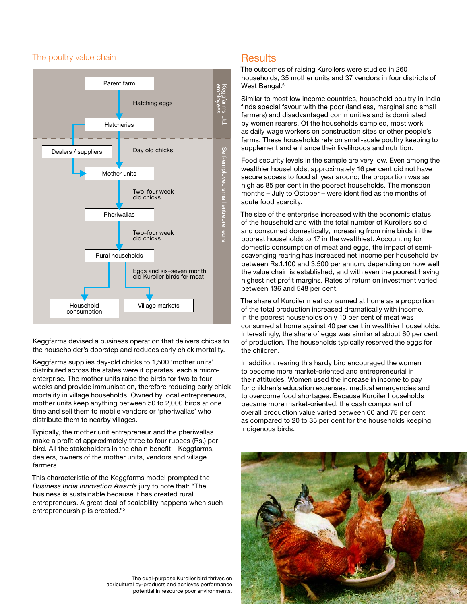#### The poultry value chain



Keggfarms devised a business operation that delivers chicks to the householder's doorstep and reduces early chick mortality.

Keggfarms supplies day-old chicks to 1,500 'mother units' distributed across the states were it operates, each a microenterprise. The mother units raise the birds for two to four weeks and provide immunisation, therefore reducing early chick mortality in village households. Owned by local entrepreneurs, mother units keep anything between 50 to 2,000 birds at one time and sell them to mobile vendors or 'pheriwallas' who distribute them to nearby villages.

Typically, the mother unit entrepreneur and the pheriwallas make a profit of approximately three to four rupees (Rs.) per bird. All the stakeholders in the chain benefit – Keggfarms, dealers, owners of the mother units, vendors and village farmers.

This characteristic of the Keggfarms model prompted the Business India Innovation Awards jury to note that: "The business is sustainable because it has created rural entrepreneurs. A great deal of scalability happens when such entrepreneurship is created."5

### **Results**

The outcomes of raising Kuroilers were studied in 260 households, 35 mother units and 37 vendors in four districts of West Bengal.<sup>6</sup>

Similar to most low income countries, household poultry in India finds special favour with the poor (landless, marginal and small farmers) and disadvantaged communities and is dominated by women rearers. Of the households sampled, most work as daily wage workers on construction sites or other people's farms. These households rely on small-scale poultry keeping to supplement and enhance their livelihoods and nutrition.

Food security levels in the sample are very low. Even among the wealthier households, approximately 16 per cent did not have secure access to food all year around; the proportion was as high as 85 per cent in the poorest households. The monsoon months – July to October – were identified as the months of acute food scarcity.

The size of the enterprise increased with the economic status of the household and with the total number of Kuroilers sold and consumed domestically, increasing from nine birds in the poorest households to 17 in the wealthiest. Accounting for domestic consumption of meat and eggs, the impact of semiscavenging rearing has increased net income per household by between Rs.1,100 and 3,500 per annum, depending on how well the value chain is established, and with even the poorest having highest net profit margins. Rates of return on investment varied between 136 and 548 per cent.

The share of Kuroiler meat consumed at home as a proportion of the total production increased dramatically with income. In the poorest households only 10 per cent of meat was consumed at home against 40 per cent in wealthier households. Interestingly, the share of eggs was similar at about 60 per cent of production. The households typically reserved the eggs for the children.

In addition, rearing this hardy bird encouraged the women to become more market-oriented and entrepreneurial in their attitudes. Women used the increase in income to pay for children's education expenses, medical emergencies and to overcome food shortages. Because Kuroiler households became more market-oriented, the cash component of overall production value varied between 60 and 75 per cent as compared to 20 to 35 per cent for the households keeping indigenous birds.



The dual-purpose Kuroiler bird thrives on agricultural by-products and achieves performance potential in resource poor environments.